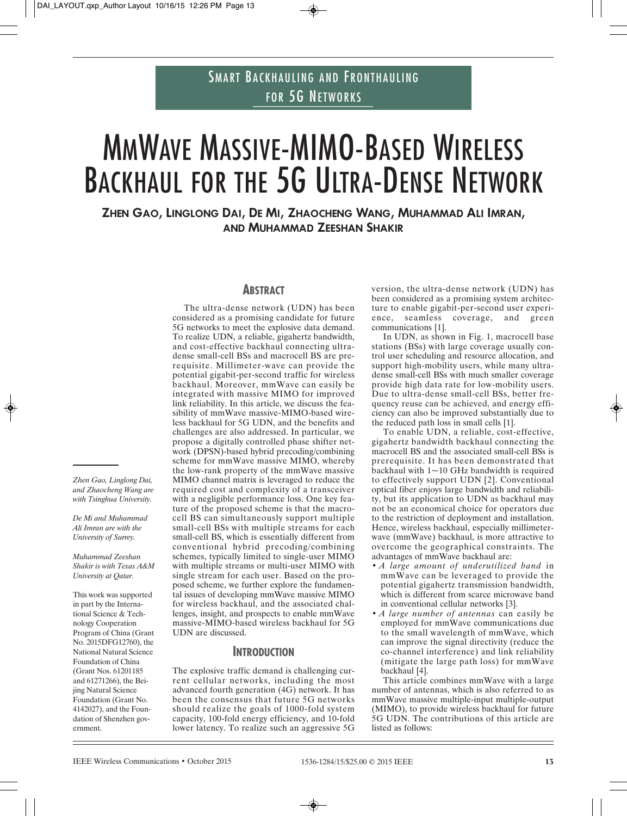# MMWAVE MASSIVE-MIMO-BASED WIRELESS BACKHAUL FOR THE 5G ULTRA-DENSE NETWORK

**ZHEN GAO, LINGLONG DAI, DE MI, ZHAOCHENG WANG, MUHAMMAD ALI IMRAN, AND MUHAMMAD ZEESHAN SHAKIR**

#### **ABSTRACT**

The ultra-dense network (UDN) has been considered as a promising candidate for future 5G networks to meet the explosive data demand. To realize UDN, a reliable, gigahertz bandwidth, and cost-effective backhaul connecting ultradense small-cell BSs and macrocell BS are prerequisite. Millimeter-wave can provide the potential gigabit-per-second traffic for wireless backhaul. Moreover, mmWave can easily be integrated with massive MIMO for improved link reliability. In this article, we discuss the feasibility of mmWave massive-MIMO-based wireless backhaul for 5G UDN, and the benefits and challenges are also addressed. In particular, we propose a digitally controlled phase shifter network (DPSN)-based hybrid precoding/combining scheme for mmWave massive MIMO, whereby the low-rank property of the mmWave massive MIMO channel matrix is leveraged to reduce the required cost and complexity of a transceiver with a negligible performance loss. One key feature of the proposed scheme is that the macrocell BS can simultaneously support multiple small-cell BSs with multiple streams for each small-cell BS, which is essentially different from conventional hybrid precoding/combining schemes, typically limited to single-user MIMO with multiple streams or multi-user MIMO with single stream for each user. Based on the proposed scheme, we further explore the fundamental issues of developing mmWave massive MIMO for wireless backhaul, and the associated challenges, insight, and prospects to enable mmWave massive-MIMO-based wireless backhaul for 5G UDN are discussed.

#### **INTRODUCTION**

The explosive traffic demand is challenging current cellular networks, including the most advanced fourth generation (4G) network. It has been the consensus that future 5G networks should realize the goals of 1000-fold system capacity, 100-fold energy efficiency, and 10-fold lower latency. To realize such an aggressive 5G

version, the ultra-dense network (UDN) has been considered as a promising system architecture to enable gigabit-per-second user experience, seamless coverage, and green communications [1].

In UDN, as shown in Fig. 1, macrocell base stations (BSs) with large coverage usually control user scheduling and resource allocation, and support high-mobility users, while many ultradense small-cell BSs with much smaller coverage provide high data rate for low-mobility users. Due to ultra-dense small-cell BSs, better frequency reuse can be achieved, and energy efficiency can also be improved substantially due to the reduced path loss in small cells [1].

To enable UDN, a reliable, cost-effective, gigahertz bandwidth backhaul connecting the macrocell BS and the associated small-cell BSs is prerequisite. It has been demonstrated that backhaul with  $1 \sim 10$  GHz bandwidth is required to effectively support UDN [2]. Conventional optical fiber enjoys large bandwidth and reliability, but its application to UDN as backhaul may not be an economical choice for operators due to the restriction of deployment and installation. Hence, wireless backhaul, especially millimeterwave (mmWave) backhaul, is more attractive to overcome the geographical constraints. The advantages of mmWave backhaul are:

- *A large amount of underutilized band* in mmWave can be leveraged to provide the potential gigahertz transmission bandwidth, which is different from scarce microwave band in conventional cellular networks [3].
- *A large number of antennas* can easily be employed for mmWave communications due to the small wavelength of mmWave, which can improve the signal directivity (reduce the co-channel interference) and link reliability (mitigate the large path loss) for mmWave backhaul [4].

This article combines mmWave with a large number of antennas, which is also referred to as mmWave massive multiple-input multiple-output (MIMO), to provide wireless backhaul for future 5G UDN. The contributions of this article are listed as follows:

*Zhen Gao, Linglong Dai, and Zhaocheng Wang are with Tsinghua University.*

*De Mi and Muhammad Ali Imran are with the University of Surrey.*

*Muhammad Zeeshan Shakir is with Texas A&M University at Qatar.*

This work was supported in part by the International Science & Technology Cooperation Program of China (Grant No. 2015DFG12760), the National Natural Science Foundation of China (Grant Nos. 61201185 and 61271266), the Beijing Natural Science Foundation (Grant No. 4142027), and the Foundation of Shenzhen government.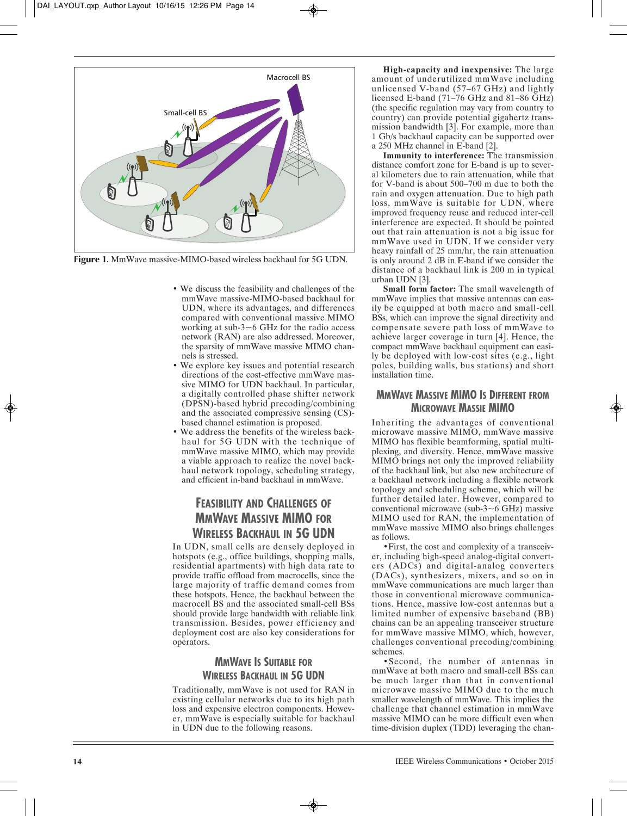

**Figure 1.** MmWave massive-MIMO-based wireless backhaul for 5G UDN.

- We discuss the feasibility and challenges of the mmWave massive-MIMO-based backhaul for UDN, where its advantages, and differences compared with conventional massive MIMO working at sub-3~6 GHz for the radio access network (RAN) are also addressed. Moreover, the sparsity of mmWave massive MIMO channels is stressed.
- We explore key issues and potential research directions of the cost-effective mmWave massive MIMO for UDN backhaul. In particular, a digitally controlled phase shifter network (DPSN)-based hybrid precoding/combining and the associated compressive sensing (CS) based channel estimation is proposed.
- We address the benefits of the wireless backhaul for 5G UDN with the technique of mmWave massive MIMO, which may provide a viable approach to realize the novel backhaul network topology, scheduling strategy, and efficient in-band backhaul in mmWave.

# **FEASIBILITY AND CHALLENGES OF MMWAVE MASSIVE MIMO FOR WIRELESS BACKHAUL IN 5G UDN**

In UDN, small cells are densely deployed in hotspots (e.g., office buildings, shopping malls, residential apartments) with high data rate to provide traffic offload from macrocells, since the large majority of traffic demand comes from these hotspots. Hence, the backhaul between the macrocell BS and the associated small-cell BSs should provide large bandwidth with reliable link transmission. Besides, power efficiency and deployment cost are also key considerations for operators.

## **MMWAVE IS SUITABLE FOR WIRELESS BACKHAUL IN 5G UDN**

Traditionally, mmWave is not used for RAN in existing cellular networks due to its high path loss and expensive electron components. However, mmWave is especially suitable for backhaul in UDN due to the following reasons.

**High-capacity and inexpensive:** The large amount of underutilized mmWave including unlicensed V-band (57–67 GHz) and lightly licensed E-band (71–76 GHz and 81–86 GHz) (the specific regulation may vary from country to country) can provide potential gigahertz transmission bandwidth [3]. For example, more than 1 Gb/s backhaul capacity can be supported over a 250 MHz channel in E-band [2].

**Immunity to interference:** The transmission distance comfort zone for E-band is up to several kilometers due to rain attenuation, while that for V-band is about 500–700 m due to both the rain and oxygen attenuation. Due to high path loss, mmWave is suitable for UDN, where improved frequency reuse and reduced inter-cell interference are expected. It should be pointed out that rain attenuation is not a big issue for mmWave used in UDN. If we consider very heavy rainfall of 25 mm/hr, the rain attenuation is only around 2 dB in E-band if we consider the distance of a backhaul link is 200 m in typical urban UDN [3].

**Small form factor:** The small wavelength of mmWave implies that massive antennas can easily be equipped at both macro and small-cell BSs, which can improve the signal directivity and compensate severe path loss of mmWave to achieve larger coverage in turn [4]. Hence, the compact mmWave backhaul equipment can easily be deployed with low-cost sites (e.g., light poles, building walls, bus stations) and short installation time.

## **MMWAVE MASSIVE MIMO IS DIFFERENT FROM MICROWAVE MASSIE MIMO**

Inheriting the advantages of conventional microwave massive MIMO, mmWave massive MIMO has flexible beamforming, spatial multiplexing, and diversity. Hence, mmWave massive MIMO brings not only the improved reliability of the backhaul link, but also new architecture of a backhaul network including a flexible network topology and scheduling scheme, which will be further detailed later. However, compared to conventional microwave (sub- $3 \sim 6$  GHz) massive MIMO used for RAN, the implementation of mmWave massive MIMO also brings challenges as follows.

•First, the cost and complexity of a transceiver, including high-speed analog-digital converters (ADCs) and digital-analog converters (DACs), synthesizers, mixers, and so on in mmWave communications are much larger than those in conventional microwave communications. Hence, massive low-cost antennas but a limited number of expensive baseband (BB) chains can be an appealing transceiver structure for mmWave massive MIMO, which, however, challenges conventional precoding/combining schemes.

•Second, the number of antennas in mmWave at both macro and small-cell BSs can be much larger than that in conventional microwave massive MIMO due to the much smaller wavelength of mmWave. This implies the challenge that channel estimation in mmWave massive MIMO can be more difficult even when time-division duplex (TDD) leveraging the chan-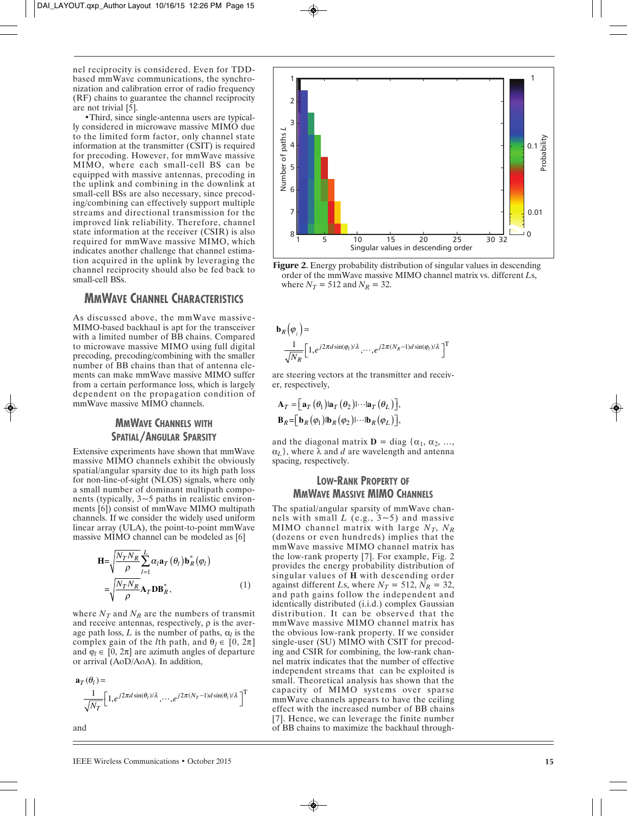nel reciprocity is considered. Even for TDDbased mmWave communications, the synchronization and calibration error of radio frequency (RF) chains to guarantee the channel reciprocity are not trivial [5].

•Third, since single-antenna users are typically considered in microwave massive MIMO due to the limited form factor, only channel state information at the transmitter (CSIT) is required for precoding. However, for mmWave massive MIMO, where each small-cell BS can be equipped with massive antennas, precoding in the uplink and combining in the downlink at small-cell BSs are also necessary, since precoding/combining can effectively support multiple streams and directional transmission for the improved link reliability. Therefore, channel state information at the receiver (CSIR) is also required for mmWave massive MIMO, which indicates another challenge that channel estimation acquired in the uplink by leveraging the channel reciprocity should also be fed back to small-cell BSs.

## **MMWAVE CHANNEL CHARACTERISTICS**

As discussed above, the mmWave massive-MIMO-based backhaul is apt for the transceiver with a limited number of BB chains. Compared to microwave massive MIMO using full digital precoding, precoding/combining with the smaller number of BB chains than that of antenna elements can make mmWave massive MIMO suffer from a certain performance loss, which is largely dependent on the propagation condition of mmWave massive MIMO channels.

## **MMWAVE CHANNELS WITH SPATIAL/ANGULAR SPARSITY**

Extensive experiments have shown that mmWave massive MIMO channels exhibit the obviously spatial/angular sparsity due to its high path loss for non-line-of-sight (NLOS) signals, where only a small number of dominant multipath components (typically, 3~5 paths in realistic environments [6]) consist of mmWave MIMO multipath channels. If we consider the widely used uniform linear array (ULA), the point-to-point mmWave massive MIMO channel can be modeled as [6]

$$
\mathbf{H} = \sqrt{\frac{N_T N_R}{\rho}} \sum_{l=1}^{L} \alpha_l \mathbf{a}_T (\theta_l) \mathbf{b}_R^* (\varphi_l)
$$

$$
= \sqrt{\frac{N_T N_R}{\rho}} \mathbf{A}_T \mathbf{D} \mathbf{B}_R^*,
$$
(1)

where  $N_T$  and  $N_R$  are the numbers of transmit and receive antennas, respectively,  $\rho$  is the average path loss,  $L$  is the number of paths,  $\alpha_l$  is the complex gain of the *l*th path, and  $\theta_l \in [0, 2\pi]$ and  $\varphi_l \in [0, 2\pi]$  are azimuth angles of departure or arrival (AoD/AoA). In addition,

$$
\mathbf{a}_T(\theta_l) = \frac{1}{\sqrt{N_T}} \Big[ 1, e^{j2\pi d \sin(\theta_l)/\lambda}, \cdots, e^{j2\pi (N_T - 1)d \sin(\theta_l)/\lambda} \Big]^{\mathrm{T}}
$$

and



**Figure 2.** Energy probability distribution of singular values in descending order of the mmWave massive MIMO channel matrix vs. different *L*s, where  $N_T = 512$  and  $N_R = 32$ .

$$
\mathbf{b}_R(\varphi_1) = \frac{1}{\sqrt{N_R}} \Big[ 1, e^{j2\pi d \sin(\varphi_1)/\lambda}, \cdots, e^{j2\pi (N_R - 1)d \sin(\varphi_1)/\lambda} \Big]^{\mathrm{T}}
$$

are steering vectors at the transmitter and receiver, respectively,

$$
\mathbf{A}_{T} = [\mathbf{a}_{T} (\theta_{1}) \mathbf{a}_{T} (\theta_{2}) \cdots \mathbf{a}_{T} (\theta_{L})],
$$
  
\n
$$
\mathbf{B}_{R} = [\mathbf{b}_{R} (\varphi_{1}) \mathbf{b}_{R} (\varphi_{2}) \cdots \mathbf{b}_{R} (\varphi_{L})],
$$

and the diagonal matrix  $\mathbf{D} = \text{diag} \{ \alpha_1, \alpha_2, ..., \alpha_n \}$  $\alpha$ <sub>L</sub>}, where  $\lambda$  and *d* are wavelength and antenna spacing, respectively.

## **LOW-RANK PROPERTY OF MMWAVE MASSIVE MIMO CHANNELS**

The spatial/angular sparsity of mmWave channels with small  $L$  (e.g.,  $3 \sim 5$ ) and massive MIMO channel matrix with large *NT*, *NR* (dozens or even hundreds) implies that the mmWave massive MIMO channel matrix has the low-rank property [7]. For example, Fig. 2 provides the energy probability distribution of singular values of **H** with descending order against different *Ls*, where  $N_T = 512$ ,  $N_R = 32$ , and path gains follow the independent and identically distributed (i.i.d.) complex Gaussian distribution. It can be observed that the mmWave massive MIMO channel matrix has the obvious low-rank property. If we consider single-user (SU) MIMO with CSIT for precoding and CSIR for combining, the low-rank channel matrix indicates that the number of effective independent streams that can be exploited is small. Theoretical analysis has shown that the capacity of MIMO systems over sparse mmWave channels appears to have the ceiling effect with the increased number of BB chains [7]. Hence, we can leverage the finite number of BB chains to maximize the backhaul through-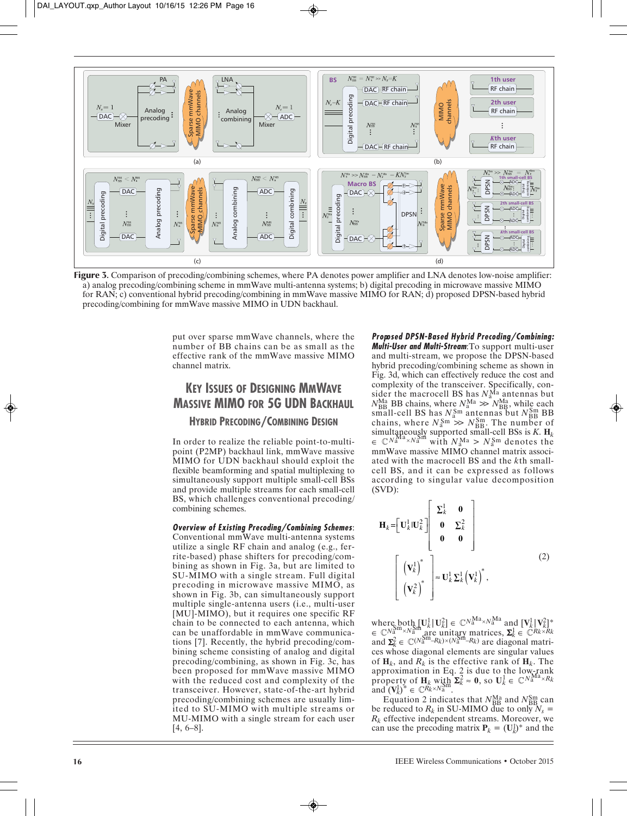

**Figure 3.** Comparison of precoding/combining schemes, where PA denotes power amplifier and LNA denotes low-noise amplifier: a) analog precoding/combining scheme in mmWave multi-antenna systems; b) digital precoding in microwave massive MIMO for RAN; c) conventional hybrid precoding/combining in mmWave massive MIMO for RAN; d) proposed DPSN-based hybrid precoding/combining for mmWave massive MIMO in UDN backhaul.

put over sparse mmWave channels, where the number of BB chains can be as small as the effective rank of the mmWave massive MIMO channel matrix.

# **KEY ISSUES OF DESIGNING MMWAVE MASSIVE MIMO FOR 5G UDN BACKHAUL HYBRID PRECODING/COMBINING DESIGN**

In order to realize the reliable point-to-multipoint (P2MP) backhaul link, mmWave massive MIMO for UDN backhaul should exploit the flexible beamforming and spatial multiplexing to simultaneously support multiple small-cell BSs and provide multiple streams for each small-cell BS, which challenges conventional precoding/ combining schemes.

#### **Overview of Existing Precoding/Combining Schemes**: Conventional mmWave multi-antenna systems utilize a single RF chain and analog (e.g., ferrite-based) phase shifters for precoding/combining as shown in Fig. 3a, but are limited to SU-MIMO with a single stream. Full digital precoding in microwave massive MIMO, as shown in Fig. 3b, can simultaneously support multiple single-antenna users (i.e., multi-user [MU]-MIMO), but it requires one specific RF chain to be connected to each antenna, which can be unaffordable in mmWave communications [7]. Recently, the hybrid precoding/combining scheme consisting of analog and digital precoding/combining, as shown in Fig. 3c, has been proposed for mmWave massive MIMO with the reduced cost and complexity of the transceiver. However, state-of-the-art hybrid precoding/combining schemes are usually limited to SU-MIMO with multiple streams or MU-MIMO with a single stream for each user [4, 6–8].

**Proposed DPSN-Based Hybrid Precoding/Combining: Multi-User and Multi-Stream**:To support multi-user and multi-stream, we propose the DPSN-based hybrid precoding/combining scheme as shown in Fig. 3d, which can effectively reduce the cost and complexity of the transceiver. Specifically, consider the macrocell BS has *N*<sup>a</sup> Ma antennas but  $N_{\rm BB}^{\rm Ma}$  BB chains, where  $N_{\rm a}^{\rm Ma} \gg N_{\rm BB}^{\rm Ma}$ , while each  $\frac{1}{\text{Small-cell BS}}$  has  $N_a^{\text{Sm}}$  antennas but  $N_{\text{BB}}^{\text{Sm}}$  BB chains, where  $N_a^{\text{Sm}} \gg N_{\text{BB}}^{\text{Sm}}$ . The number of simultaneously supported small-cell BSs is *K*.  $\mathbf{H}_k$ <br>  $\in \mathbb{C}^{N_a^{\text{MA}}} \times N_a^{\text{SM}}$  with  $N_a^{\text{Ma}} > N_a^{\text{Sm}}$  denotes the mmWave massive MIMO channel matrix associated with the macrocell BS and the *k*th smallcell BS, and it can be expressed as follows according to singular value decomposition (SVD):

$$
\mathbf{H}_{k} = \begin{bmatrix} \mathbf{U}_{k}^{1} \mathbf{U}_{k}^{2} \end{bmatrix} \begin{bmatrix} \Sigma_{k}^{1} & \mathbf{0} \\ \mathbf{0} & \Sigma_{k}^{2} \\ \mathbf{0} & \mathbf{0} \end{bmatrix}
$$
\n
$$
\begin{bmatrix} (\mathbf{V}_{k}^{1})^{*} \\ (\mathbf{V}_{k}^{2})^{*} \end{bmatrix} \approx \mathbf{U}_{k}^{1} \Sigma_{k}^{1} (\mathbf{V}_{k}^{1})^{*},
$$
\n(2)

where both  $[\mathbf{U}_k^1 | \mathbf{U}_k^2] \in \mathbb{C}^{N_a^{\mathbf{M}a} \times N_a^{\mathbf{M}a}}$  and  $[\mathbf{V}_k^1 | \mathbf{V}_k^2]$ <sup>\*</sup>  $\in \mathbb{C}^{N_a^s} \times N_a^s$  are unitary matrices,  $\Sigma_k^1 \in \mathbb{C}^{R_k \times R_k}$ and  $\Sigma_k^2 \in \mathbb{C}^{(N_3^{\text{Sim}} - R_k) \times (N_3^{\text{Sim}} - R_k)}$  are diagonal matrices whose diagonal elements are singular values of  $H_k$ , and  $R_k$  is the effective rank of  $H_k$ . The approximation in Eq. 2 is due to the low-rank property of  $H_k$  with  $\Sigma_k^2 \approx 0$ , so  $U_k^1 \in \mathbb{C}^{N_a^2 \times R_k}$ and  $(V_k^1)^* \in \mathbb{C}^{R_k \times N_a^s}$ .

Equation 2 indicates that  $N_{\rm BB}^{\rm Ma}$  and  $N_{\rm BB}^{\rm Sm}$  can be reduced to  $R_k$  in SU-MIMO due to only  $N_s$  = *Rk* effective independent streams. Moreover, we can use the precoding matrix  $P_k = (U_k^1)^*$  and the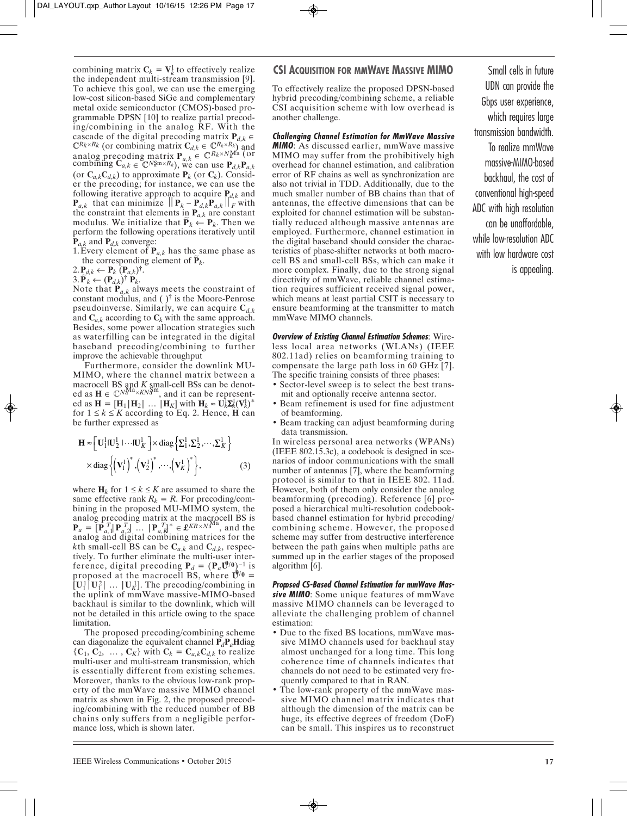combining matrix  $C_k = V_k^1$  to effectively realize the independent multi-stream transmission [9]. To achieve this goal, we can use the emerging low-cost silicon-based SiGe and complementary metal oxide semiconductor (CMOS)-based programmable DPSN [10] to realize partial precoding/combining in the analog RF. With the cascade of the digital precoding matrix  $P_{d,k}$  $\mathbb{C}^{R_k \times R_k}$  (or combining matrix  $\mathbf{C}_{d,k} \in \mathbb{C}^{R_k \times R_k}$ ) and analog precoding matrix  $P_{a,k} \in \mathbb{C}^{R_k \times N_M^M}$  (or combining  $\mathbf{C}_{a,k} \in \mathbb{C}^{N \times m \times R_k}$ , we can use  $\mathbf{P}_{d,k} \mathbf{P}_{a,k}$ (or  $C_{a,k}C_{d,k}$ ) to approximate  $P_k$  (or  $C_k$ ). Consider the precoding; for instance, we can use the following iterative approach to acquire **P***d,k* and  $\mathbf{P}_{a,k}$  that can minimize  $\|\mathbf{P}_k - \mathbf{P}_{d,k}\mathbf{P}_{a,k}\|_F$  with the constraint that elements in  $P_{a,k}$  are constant modulus. We initialize that  $\tilde{P}_k \leftarrow P_k$ . Then we perform the following operations iteratively until  $\mathbf{P}_{a,k}$  and  $\mathbf{P}_{d,k}$  converge:

1. Every element of  $P_{a,k}$  has the same phase as the corresponding element of  $\tilde{P}_k$ .

$$
2. \mathbf{P}_{d,k} \leftarrow \mathbf{P}_k \left( \mathbf{P}_{a,k} \right)^{\dagger}.
$$

 $\mathbf{B} \cdot \mathbf{P}_k \leftarrow (\mathbf{P}_{d,k})^{\dagger} \mathbf{P}_k.$ 

Note that  $P_{a,k}$  always meets the constraint of constant modulus, and  $()^{\dagger}$  is the Moore-Penrose pseudoinverse. Similarly, we can acquire **C***d,k* and  $\mathbf{C}_{a,k}$  according to  $\mathbf{C}_k$  with the same approach. Besides, some power allocation strategies such as waterfilling can be integrated in the digital baseband precoding/combining to further improve the achievable throughput

Furthermore, consider the downlink MU-MIMO, where the channel matrix between a macrocell BS and *K* small-cell BSs can be denoted as  $\mathbf{H} \in \mathbb{C}^{N_a^{\text{Ma}} \times KN_a^{\text{am}}}$ , and it can be represented as  $\mathbf{H} = [\mathbf{H}_1 | \mathbf{H}_2 | \dots | \mathbf{H}_K]$  with  $\mathbf{H}_k \approx \mathbf{U}_k^1 \mathbf{\Sigma}_k^1 (\mathbf{V}_k^1)^*$ for  $1 \leq k \leq K$  according to Eq. 2. Hence,  $\hat{H}$  can be further expressed as

$$
\mathbf{H} \approx \left[ \mathbf{U}_{1}^{1} | \mathbf{U}_{2}^{1} | \cdots | \mathbf{U}_{K}^{1} \right] \times \text{diag} \left\{ \Sigma_{1}^{1}, \Sigma_{2}^{1}, \cdots, \Sigma_{K}^{1} \right\}
$$

$$
\times \text{diag} \left\{ \left( \mathbf{V}_{1}^{1} \right)^{*}, \left( \mathbf{V}_{2}^{1} \right)^{*}, \cdots, \left( \mathbf{V}_{K}^{1} \right)^{*} \right\},\tag{3}
$$

where  $H_k$  for  $1 \leq k \leq K$  are assumed to share the same effective rank  $R_k = R$ . For precoding/combining in the proposed MU-MIMO system, the analog precoding matrix at the macrocell BS is  $\mathbf{P}_a = [\mathbf{P}_{a,1}^T | \mathbf{P}_{a,2}^T] \dots | \mathbf{P}_{a,K}^T] \in \mathbf{E}^{KR \times N_a^M}$ , and the analog and digital combining matrices for the *k*th small-cell BS can be  $C_{a,k}$  and  $C_{d,k}$ , respectively. To further eliminate the multi-user interference, digital precoding  $P_d = (P_a \mathbf{U}^{0/0})^{-1}$  is proposed at the macrocell BS, where  $\mathbf{U}^{0} =$  $[\mathbf{U}_1^1 | \mathbf{U}_1^2 | \dots | \mathbf{U}_K^1]$ . The precoding/combining in the uplink of mmWave massive-MIMO-based backhaul is similar to the downlink, which will not be detailed in this article owing to the space limitation.

The proposed precoding/combining scheme can diagonalize the equivalent channel  $P_dP_aH$ diag  ${C_1, C_2, \ldots, C_K}$  with  $C_k = C_{a,k} C_{d,k}$  to realize multi-user and multi-stream transmission, which is essentially different from existing schemes. Moreover, thanks to the obvious low-rank property of the mmWave massive MIMO channel matrix as shown in Fig. 2, the proposed precoding/combining with the reduced number of BB chains only suffers from a negligible performance loss, which is shown later.

#### **CSI ACQUISITION FOR MMWAVE MASSIVE MIMO**

To effectively realize the proposed DPSN-based hybrid precoding/combining scheme, a reliable CSI acquisition scheme with low overhead is another challenge.

**Challenging Channel Estimation for MmWave Massive MIMO**: As discussed earlier, mmWave massive MIMO may suffer from the prohibitively high overhead for channel estimation, and calibration error of RF chains as well as synchronization are also not trivial in TDD. Additionally, due to the much smaller number of BB chains than that of antennas, the effective dimensions that can be exploited for channel estimation will be substantially reduced although massive antennas are employed. Furthermore, channel estimation in the digital baseband should consider the characteristics of phase-shifter networks at both macrocell BS and small-cell BSs, which can make it more complex. Finally, due to the strong signal directivity of mmWave, reliable channel estimation requires sufficient received signal power, which means at least partial CSIT is necessary to ensure beamforming at the transmitter to match mmWave MIMO channels.

**Overview of Existing Channel Estimation Schemes**: Wireless local area networks (WLANs) (IEEE 802.11ad) relies on beamforming training to compensate the large path loss in 60 GHz [7]. The specific training consists of three phases:

- Sector-level sweep is to select the best transmit and optionally receive antenna sector.
- Beam refinement is used for fine adjustment of beamforming.
- Beam tracking can adjust beamforming during data transmission.

In wireless personal area networks (WPANs) (IEEE 802.15.3c), a codebook is designed in scenarios of indoor communications with the small number of antennas [7], where the beamforming protocol is similar to that in IEEE 802. 11ad. However, both of them only consider the analog beamforming (precoding). Reference [6] proposed a hierarchical multi-resolution codebookbased channel estimation for hybrid precoding/ combining scheme. However, the proposed scheme may suffer from destructive interference between the path gains when multiple paths are summed up in the earlier stages of the proposed algorithm [6].

**Proposed CS-Based Channel Estimation for mmWave Massive MIMO**: Some unique features of mmWave massive MIMO channels can be leveraged to alleviate the challenging problem of channel estimation:

- Due to the fixed BS locations, mmWave massive MIMO channels used for backhaul stay almost unchanged for a long time. This long coherence time of channels indicates that channels do not need to be estimated very frequently compared to that in RAN.
- The low-rank property of the mmWave massive MIMO channel matrix indicates that although the dimension of the matrix can be huge, its effective degrees of freedom (DoF) can be small. This inspires us to reconstruct

Small cells in future UDN can provide the Gbps user experience, which requires large transmission bandwidth. To realize mmWave massive-MIMO-based backhaul, the cost of conventional high-speed ADC with high resolution can be unaffordable, while low-resolution ADC with low hardware cost is appealing.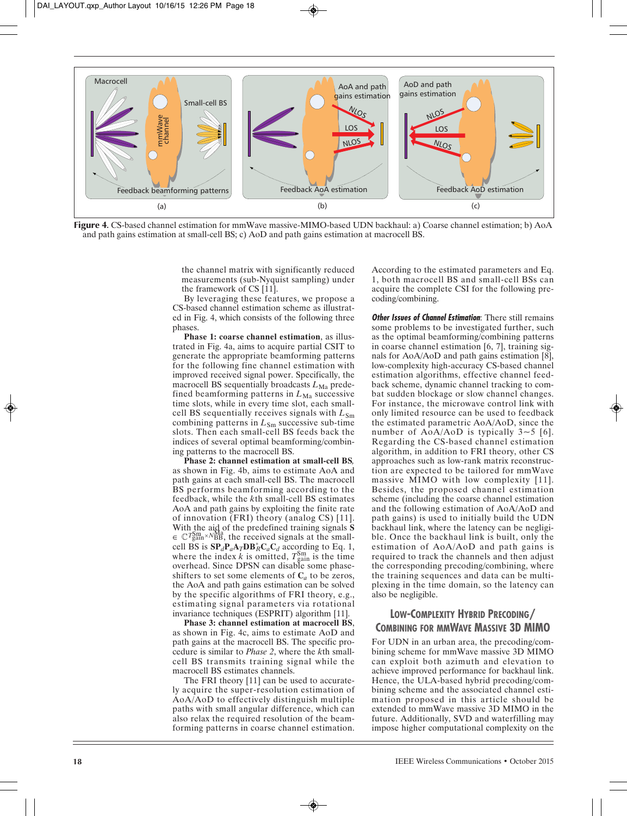

**Figure 4.** CS-based channel estimation for mmWave massive-MIMO-based UDN backhaul: a) Coarse channel estimation; b) AoA and path gains estimation at small-cell BS; c) AoD and path gains estimation at macrocell BS.

the channel matrix with significantly reduced measurements (sub-Nyquist sampling) under the framework of CS [11].

By leveraging these features, we propose a CS-based channel estimation scheme as illustrated in Fig. 4, which consists of the following three phases.

**Phase 1: coarse channel estimation**, as illustrated in Fig. 4a, aims to acquire partial CSIT to generate the appropriate beamforming patterns for the following fine channel estimation with improved received signal power. Specifically, the macrocell BS sequentially broadcasts  $L_{\text{Ma}}$  predefined beamforming patterns in  $L_{\text{Ma}}$  successive time slots, while in every time slot, each smallcell BS sequentially receives signals with  $L_{Sm}$ combining patterns in  $L_{Sm}$  successive sub-time slots. Then each small-cell BS feeds back the indices of several optimal beamforming/combining patterns to the macrocell BS.

**Phase 2: channel estimation at small-cell BS***,* as shown in Fig. 4b, aims to estimate AoA and path gains at each small-cell BS. The macrocell BS performs beamforming according to the feedback, while the *k*th small-cell BS estimates AoA and path gains by exploiting the finite rate of innovation (FRI) theory (analog CS) [11]. With the aid of the predefined training signals **S**  $\in \mathbb{C}^{T_{\text{gan}}^{\text{Sm}} \times N_{\text{BB}}^{\text{M}}}$ , the received signals at the smallcell BS is  $\mathbf{SP}_d\mathbf{P}_a\mathbf{A}_T\mathbf{DB}_R^*\mathbf{C}_a\mathbf{C}_d$  according to Eq. 1, where the index  $k$  is omitted,  $T_{\text{gain}}^{\text{Sm}}$  is the time overhead. Since DPSN can disable some phaseshifters to set some elements of  $C_a$  to be zeros, the AoA and path gains estimation can be solved by the specific algorithms of FRI theory, e.g., estimating signal parameters via rotational invariance techniques (ESPRIT) algorithm [11].

**Phase 3: channel estimation at macrocell BS**, as shown in Fig. 4c, aims to estimate AoD and path gains at the macrocell BS. The specific procedure is similar to *Phase 2*, where the *k*th smallcell BS transmits training signal while the macrocell BS estimates channels.

The FRI theory [11] can be used to accurately acquire the super-resolution estimation of AoA/AoD to effectively distinguish multiple paths with small angular difference, which can also relax the required resolution of the beamforming patterns in coarse channel estimation.

According to the estimated parameters and Eq. 1, both macrocell BS and small-cell BSs can acquire the complete CSI for the following precoding/combining.

**Other Issues of Channel Estimation:** There still remains some problems to be investigated further, such as the optimal beamforming/combining patterns in coarse channel estimation [6, 7], training signals for AoA/AoD and path gains estimation [8], low-complexity high-accuracy CS-based channel estimation algorithms, effective channel feedback scheme, dynamic channel tracking to combat sudden blockage or slow channel changes. For instance, the microwave control link with only limited resource can be used to feedback the estimated parametric AoA/AoD, since the number of AoA/AoD is typically  $3~5$  [6]. Regarding the CS-based channel estimation algorithm, in addition to FRI theory, other CS approaches such as low-rank matrix reconstruction are expected to be tailored for mmWave massive MIMO with low complexity [11]. Besides, the proposed channel estimation scheme (including the coarse channel estimation and the following estimation of AoA/AoD and path gains) is used to initially build the UDN backhaul link, where the latency can be negligible. Once the backhaul link is built, only the estimation of AoA/AoD and path gains is required to track the channels and then adjust the corresponding precoding/combining, where the training sequences and data can be multiplexing in the time domain, so the latency can also be negligible.

## **LOW-COMPLEXITY HYBRID PRECODING/ COMBINING FOR MMWAVE MASSIVE 3D MIMO**

For UDN in an urban area, the precoding/combining scheme for mmWave massive 3D MIMO can exploit both azimuth and elevation to achieve improved performance for backhaul link. Hence, the ULA-based hybrid precoding/combining scheme and the associated channel estimation proposed in this article should be extended to mmWave massive 3D MIMO in the future. Additionally, SVD and waterfilling may impose higher computational complexity on the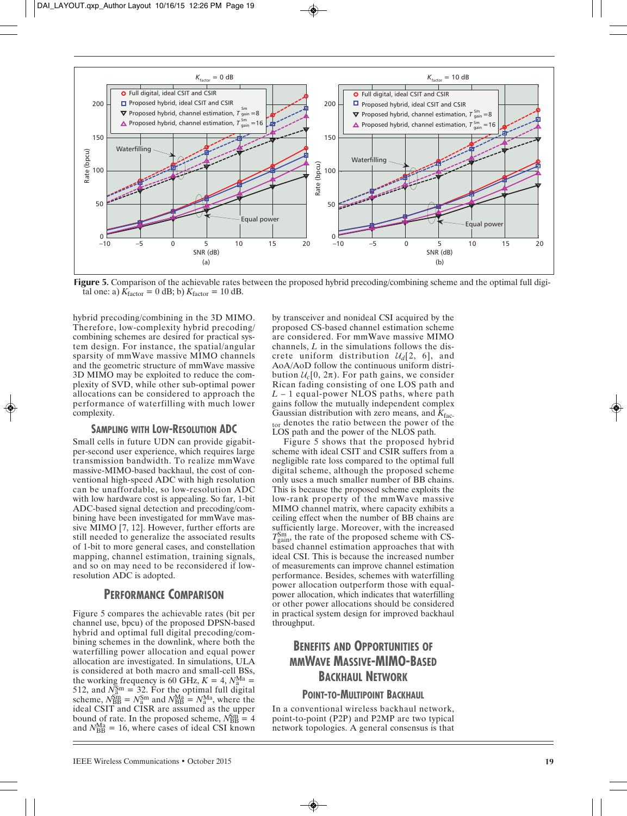

**Figure 5.** Comparison of the achievable rates between the proposed hybrid precoding/combining scheme and the optimal full digital one: a)  $K_{\text{factor}} = 0$  dB; b)  $K_{\text{factor}} = 10$  dB.

hybrid precoding/combining in the 3D MIMO. Therefore, low-complexity hybrid precoding/ combining schemes are desired for practical system design. For instance, the spatial/angular sparsity of mmWave massive MIMO channels and the geometric structure of mmWave massive 3D MIMO may be exploited to reduce the complexity of SVD, while other sub-optimal power allocations can be considered to approach the performance of waterfilling with much lower complexity.

#### **SAMPLING WITH LOW-RESOLUTION ADC**

Small cells in future UDN can provide gigabitper-second user experience, which requires large transmission bandwidth. To realize mmWave massive-MIMO-based backhaul, the cost of conventional high-speed ADC with high resolution can be unaffordable, so low-resolution ADC with low hardware cost is appealing. So far, 1-bit ADC-based signal detection and precoding/combining have been investigated for mmWave massive MIMO [7, 12]. However, further efforts are still needed to generalize the associated results of 1-bit to more general cases, and constellation mapping, channel estimation, training signals, and so on may need to be reconsidered if lowresolution ADC is adopted.

#### **PERFORMANCE COMPARISON**

Figure 5 compares the achievable rates (bit per channel use, bpcu) of the proposed DPSN-based hybrid and optimal full digital precoding/combining schemes in the downlink, where both the waterfilling power allocation and equal power allocation are investigated. In simulations, ULA is considered at both macro and small-cell BSs, the working frequency is 60 GHz,  $K = 4$ ,  $N_a^{\text{Ma}} =$ 512, and  $N_{\rm eq}^{\rm Sm} = 32$ . For the optimal full digital scheme,  $N_{\rm BB}^{\rm Sm} = N_{\rm a}^{\rm Sm}$  and  $N_{\rm BB}^{\rm Ma} = N_{\rm a}^{\rm Ma}$ , where the ideal CSIT and CISR are assumed as the upper bound of rate. In the proposed scheme,  $N_{\rm BB}^{\rm Sm} = 4$ and  $N_{\rm BB}^{\rm Ma} = 16$ , where cases of ideal CSI known

by transceiver and nonideal CSI acquired by the proposed CS-based channel estimation scheme are considered. For mmWave massive MIMO channels, *L* in the simulations follows the discrete uniform distribution  $U_d[2, 6]$ , and AoA/AoD follow the continuous uniform distribution  $U_c[0, 2\pi)$ . For path gains, we consider Rican fading consisting of one LOS path and *L* – 1 equal-power NLOS paths, where path gains follow the mutually independent complex Gaussian distribution with zero means, and *K*factor denotes the ratio between the power of the LOS path and the power of the NLOS path.

Figure 5 shows that the proposed hybrid scheme with ideal CSIT and CSIR suffers from a negligible rate loss compared to the optimal full digital scheme, although the proposed scheme only uses a much smaller number of BB chains. This is because the proposed scheme exploits the low-rank property of the mmWave massive MIMO channel matrix, where capacity exhibits a ceiling effect when the number of BB chains are sufficiently large. Moreover, with the increased  $T_{\text{gain}}^{\text{Sm}}$ , the rate of the proposed scheme with CSbased channel estimation approaches that with ideal CSI. This is because the increased number of measurements can improve channel estimation performance. Besides, schemes with waterfilling power allocation outperform those with equalpower allocation, which indicates that waterfilling or other power allocations should be considered in practical system design for improved backhaul throughput.

# **BENEFITS AND OPPORTUNITIES OF MMWAVE MASSIVE-MIMO-BASED BACKHAUL NETWORK**

#### **POINT-TO-MULTIPOINT BACKHAUL**

In a conventional wireless backhaul network, point-to-point (P2P) and P2MP are two typical network topologies. A general consensus is that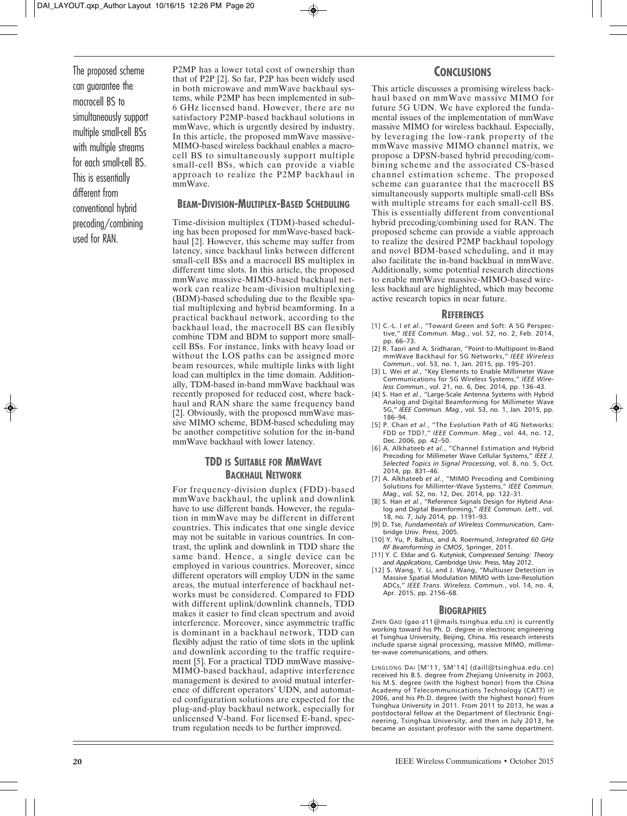The proposed scheme can guarantee the macrocell BS to simultaneously support multiple small-cell BSs with multiple streams for each small-cell BS. This is essentially different from conventional hybrid precoding/combining used for RAN.

P2MP has a lower total cost of ownership than that of P2P [2]. So far, P2P has been widely used in both microwave and mmWave backhaul systems, while P2MP has been implemented in sub-6 GHz licensed band. However, there are no satisfactory P2MP-based backhaul solutions in mmWave, which is urgently desired by industry. In this article, the proposed mmWave massive-MIMO-based wireless backhaul enables a macrocell BS to simultaneously support multiple small-cell BSs, which can provide a viable approach to realize the P2MP backhaul in mmWave.

#### **BEAM-DIVISION-MULTIPLEX-BASED SCHEDULING**

Time-division multiplex (TDM)-based scheduling has been proposed for mmWave-based backhaul [2]. However, this scheme may suffer from latency, since backhaul links between different small-cell BSs and a macrocell BS multiplex in different time slots. In this article, the proposed mmWave massive-MIMO-based backhaul network can realize beam-division multiplexing (BDM)-based scheduling due to the flexible spatial multiplexing and hybrid beamforming. In a practical backhaul network, according to the backhaul load, the macrocell BS can flexibly combine TDM and BDM to support more smallcell BSs. For instance, links with heavy load or without the LOS paths can be assigned more beam resources, while multiple links with light load can multiplex in the time domain. Additionally, TDM-based in-band mmWave backhaul was recently proposed for reduced cost, where backhaul and RAN share the same frequency band [2]. Obviously, with the proposed mmWave massive MIMO scheme, BDM-based scheduling may be another competitive solution for the in-band mmWave backhaul with lower latency.

## **TDD IS SUITABLE FOR MMWAVE BACKHAUL NETWORK**

For frequency-division duplex (FDD)-based mmWave backhaul, the uplink and downlink have to use different bands. However, the regulation in mmWave may be different in different countries. This indicates that one single device may not be suitable in various countries. In contrast, the uplink and downlink in TDD share the same band. Hence, a single device can be employed in various countries. Moreover, since different operators will employ UDN in the same areas, the mutual interference of backhaul networks must be considered. Compared to FDD with different uplink/downlink channels, TDD makes it easier to find clean spectrum and avoid interference. Moreover, since asymmetric traffic is dominant in a backhaul network, TDD can flexibly adjust the ratio of time slots in the uplink and downlink according to the traffic requirement [5]. For a practical TDD mmWave massive-MIMO-based backhaul, adaptive interference management is desired to avoid mutual interference of different operators' UDN, and automated configuration solutions are expected for the plug-and-play backhaul network, especially for unlicensed V-band. For licensed E-band, spectrum regulation needs to be further improved.

## **CONCLUSIONS**

This article discusses a promising wireless backhaul based on mmWave massive MIMO for future 5G UDN. We have explored the fundamental issues of the implementation of mmWave massive MIMO for wireless backhaul. Especially, by leveraging the low-rank property of the mmWave massive MIMO channel matrix, we propose a DPSN-based hybrid precoding/combining scheme and the associated CS-based channel estimation scheme. The proposed scheme can guarantee that the macrocell BS simultaneously supports multiple small-cell BSs with multiple streams for each small-cell BS. This is essentially different from conventional hybrid precoding/combining used for RAN. The proposed scheme can provide a viable approach to realize the desired P2MP backhaul topology and novel BDM-based scheduling, and it may also facilitate the in-band backhual in mmWave. Additionally, some potential research directions to enable mmWave massive-MIMO-based wireless backhaul are highlighted, which may become active research topics in near future.

#### **REFERENCES**

- [1] C.-L. I *et al.*, "Toward Green and Soft: A 5G Perspective," *IEEE Commun. Mag.*, vol. 52, no. 2, Feb. 2014, pp. 66–73.
- [2] R. Taori and A. Sridharan, "Point-to-Multipoint In-Band mmWave Backhaul for 5G Networks," *IEEE Wireless Commun.*, vol. 53, no. 1, Jan. 2015, pp. 195–201.
- [3] L. Wei *et al.*, "Key Elements to Enable Millimeter Wave Communications for 5G Wireless Systems," *IEEE Wireless Commun.*, vol. 21, no. 6, Dec. 2014, pp. 136–43.
- [4] S. Han *et al.*, "Large-Scale Antenna Systems with Hybrid Analog and Digital Beamforming for Millimeter Wave 5G," *IEEE Commun. Mag.*, vol. 53, no. 1, Jan. 2015, pp. 186–94.
- [5] P. Chan *et al.*, "The Evolution Path of 4G Networks: FDD or TDD?," *IEEE Commun. Mag.*, vol. 44, no. 12, Dec. 2006, pp. 42–50.
- [6] A. Alkhateeb *et al.*, "Channel Estimation and Hybrid Precoding for Millimeter Wave Cellular Systems," *IEEE J. Selected Topics in Signal Processing*, vol. 8, no. 5, Oct. 2014, pp. 831–46.
- [7] A. Alkhateeb *et al.*, "MIMO Precoding and Combining Solutions for Millimter-Wave Systems," *IEEE Commun. Mag.*, vol. 52, no. 12, Dec. 2014, pp. 122–31.
- [8] S. Han *et al.*, "Reference Signals Design for Hybrid Analog and Digital Beamforming," *IEEE Commun. Lett.*, vol. 18, no. 7, July 2014, pp. 1191–93.
- [9] D. Tse, *Fundamentals of Wireless Communicatio*n, Cambridge Univ. Press, 2005.
- [10] Y. Yu, P. Baltus, and A. Roermund, *Integrated 60 GHz RF Beamforming in CMOS*, Springer, 2011.
- [11] Y. C. Eldar and G. Kutyniok, *Compressed Sensing: Theory and Applications*, Cambridge Univ. Press, May 2012.
- [12] S. Wang, Y. Li, and J. Wang, "Multiuser Detection in Massive Spatial Modulation MIMO with Low-Resolution ADCs," *IEEE Trans. Wireless. Commun.*, vol. 14, no. 4, Apr. 2015, pp. 2156–68.

#### **BIOGRAPHIES**

ZHEN GAO (gao-z11@mails.tsinghua.edu.cn) is currently working toward his Ph. D. degree in electronic engineering at Tsinghua University, Beijing, China. His research interests include sparse signal processing, massive MIMO, millimeter-wave communications, and others.

LINGLONG DAI [M'11, SM'14] (daill@tsinghua.edu.cn) received his B.S. degree from Zhejiang University in 2003, his M.S. degree (with the highest honor) from the China Academy of Telecommunications Technology (CATT) in 2006, and his Ph.D. degree (with the highest honor) from Tsinghua University in 2011. From 2011 to 2013, he was a postdoctoral fellow at the Department of Electronic Engineering, Tsinghua University, and then in July 2013, he became an assistant professor with the same department.